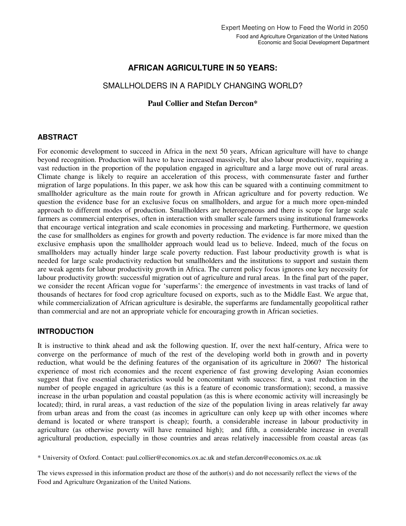# **AFRICAN AGRICULTURE IN 50 YEARS:**

# SMALLHOLDERS IN A RAPIDLY CHANGING WORLD?

# **Paul Collier and Stefan Dercon\***

## **ABSTRACT**

For economic development to succeed in Africa in the next 50 years, African agriculture will have to change beyond recognition. Production will have to have increased massively, but also labour productivity, requiring a vast reduction in the proportion of the population engaged in agriculture and a large move out of rural areas. Climate change is likely to require an acceleration of this process, with commensurate faster and further migration of large populations. In this paper, we ask how this can be squared with a continuing commitment to smallholder agriculture as the main route for growth in African agriculture and for poverty reduction. We question the evidence base for an exclusive focus on smallholders, and argue for a much more open-minded approach to different modes of production. Smallholders are heterogeneous and there is scope for large scale farmers as commercial enterprises, often in interaction with smaller scale farmers using institutional frameworks that encourage vertical integration and scale economies in processing and marketing. Furthermore, we question the case for smallholders as engines for growth and poverty reduction. The evidence is far more mixed than the exclusive emphasis upon the smallholder approach would lead us to believe. Indeed, much of the focus on smallholders may actually hinder large scale poverty reduction. Fast labour productivity growth is what is needed for large scale productivity reduction but smallholders and the institutions to support and sustain them are weak agents for labour productivity growth in Africa. The current policy focus ignores one key necessity for labour productivity growth: successful migration out of agriculture and rural areas. In the final part of the paper, we consider the recent African vogue for 'superfarms': the emergence of investments in vast tracks of land of thousands of hectares for food crop agriculture focused on exports, such as to the Middle East. We argue that, while commercialization of African agriculture is desirable, the superfarms are fundamentally geopolitical rather than commercial and are not an appropriate vehicle for encouraging growth in African societies.

### **INTRODUCTION**

It is instructive to think ahead and ask the following question. If, over the next half-century, Africa were to converge on the performance of much of the rest of the developing world both in growth and in poverty reduction, what would be the defining features of the organisation of its agriculture in 2060? The historical experience of most rich economies and the recent experience of fast growing developing Asian economies suggest that five essential characteristics would be concomitant with success: first, a vast reduction in the number of people engaged in agriculture (as this is a feature of economic transformation); second, a massive increase in the urban population and coastal population (as this is where economic activity will increasingly be located); third, in rural areas, a vast reduction of the size of the population living in areas relatively far away from urban areas and from the coast (as incomes in agriculture can only keep up with other incomes where demand is located or where transport is cheap); fourth, a considerable increase in labour productivity in agriculture (as otherwise poverty will have remained high); and fifth, a considerable increase in overall agricultural production, especially in those countries and areas relatively inaccessible from coastal areas (as

\* University of Oxford. Contact: paul.collier@economics.ox.ac.uk and stefan.dercon@economics.ox.ac.uk

The views expressed in this information product are those of the author(s) and do not necessarily reflect the views of the Food and Agriculture Organization of the United Nations.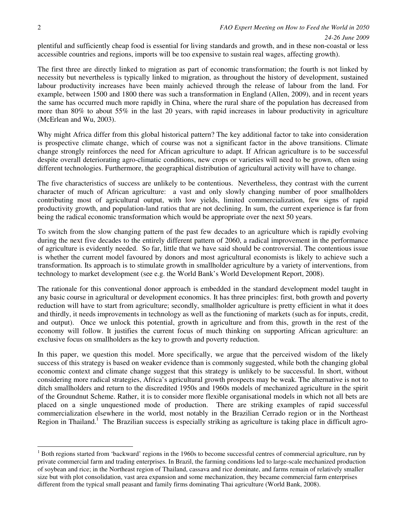l

plentiful and sufficiently cheap food is essential for living standards and growth, and in these non-coastal or less accessible countries and regions, imports will be too expensive to sustain real wages, affecting growth).

The first three are directly linked to migration as part of economic transformation; the fourth is not linked by necessity but nevertheless is typically linked to migration, as throughout the history of development, sustained labour productivity increases have been mainly achieved through the release of labour from the land. For example, between 1500 and 1800 there was such a transformation in England (Allen, 2009), and in recent years the same has occurred much more rapidly in China, where the rural share of the population has decreased from more than 80% to about 55% in the last 20 years, with rapid increases in labour productivity in agriculture (McErlean and Wu, 2003).

Why might Africa differ from this global historical pattern? The key additional factor to take into consideration is prospective climate change, which of course was not a significant factor in the above transitions. Climate change strongly reinforces the need for African agriculture to adapt. If African agriculture is to be successful despite overall deteriorating agro-climatic conditions, new crops or varieties will need to be grown, often using different technologies. Furthermore, the geographical distribution of agricultural activity will have to change.

The five characteristics of success are unlikely to be contentious. Nevertheless, they contrast with the current character of much of African agriculture: a vast and only slowly changing number of poor smallholders contributing most of agricultural output, with low yields, limited commercialization, few signs of rapid productivity growth, and population-land ratios that are not declining. In sum, the current experience is far from being the radical economic transformation which would be appropriate over the next 50 years.

To switch from the slow changing pattern of the past few decades to an agriculture which is rapidly evolving during the next five decades to the entirely different pattern of 2060, a radical improvement in the performance of agriculture is evidently needed. So far, little that we have said should be controversial. The contentious issue is whether the current model favoured by donors and most agricultural economists is likely to achieve such a transformation. Its approach is to stimulate growth in smallholder agriculture by a variety of interventions, from technology to market development (see e.g. the World Bank's World Development Report, 2008).

The rationale for this conventional donor approach is embedded in the standard development model taught in any basic course in agricultural or development economics. It has three principles: first, both growth and poverty reduction will have to start from agriculture; secondly, smallholder agriculture is pretty efficient in what it does and thirdly, it needs improvements in technology as well as the functioning of markets (such as for inputs, credit, and output). Once we unlock this potential, growth in agriculture and from this, growth in the rest of the economy will follow. It justifies the current focus of much thinking on supporting African agriculture: an exclusive focus on smallholders as the key to growth and poverty reduction.

In this paper, we question this model. More specifically, we argue that the perceived wisdom of the likely success of this strategy is based on weaker evidence than is commonly suggested, while both the changing global economic context and climate change suggest that this strategy is unlikely to be successful. In short, without considering more radical strategies, Africa's agricultural growth prospects may be weak. The alternative is not to ditch smallholders and return to the discredited 1950s and 1960s models of mechanized agriculture in the spirit of the Groundnut Scheme. Rather, it is to consider more flexible organisational models in which not all bets are placed on a single unquestioned mode of production. There are striking examples of rapid successful commercialization elsewhere in the world, most notably in the Brazilian Cerrado region or in the Northeast Region in Thailand.<sup>1</sup> The Brazilian success is especially striking as agriculture is taking place in difficult agro-

 $1$  Both regions started from 'backward' regions in the 1960s to become successful centres of commercial agriculture, run by private commercial farm and trading enterprises. In Brazil, the farming conditions led to large-scale mechanized production of soybean and rice; in the Northeast region of Thailand, cassava and rice dominate, and farms remain of relatively smaller size but with plot consolidation, vast area expansion and some mechanization, they became commercial farm enterprises different from the typical small peasant and family firms dominating Thai agriculture (World Bank, 2008).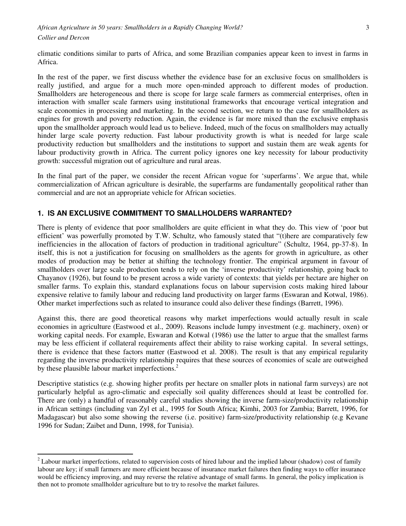climatic conditions similar to parts of Africa, and some Brazilian companies appear keen to invest in farms in Africa.

In the rest of the paper, we first discuss whether the evidence base for an exclusive focus on smallholders is really justified, and argue for a much more open-minded approach to different modes of production. Smallholders are heterogeneous and there is scope for large scale farmers as commercial enterprises, often in interaction with smaller scale farmers using institutional frameworks that encourage vertical integration and scale economies in processing and marketing. In the second section, we return to the case for smallholders as engines for growth and poverty reduction. Again, the evidence is far more mixed than the exclusive emphasis upon the smallholder approach would lead us to believe. Indeed, much of the focus on smallholders may actually hinder large scale poverty reduction. Fast labour productivity growth is what is needed for large scale productivity reduction but smallholders and the institutions to support and sustain them are weak agents for labour productivity growth in Africa. The current policy ignores one key necessity for labour productivity growth: successful migration out of agriculture and rural areas.

In the final part of the paper, we consider the recent African vogue for 'superfarms'. We argue that, while commercialization of African agriculture is desirable, the superfarms are fundamentally geopolitical rather than commercial and are not an appropriate vehicle for African societies.

# **1. IS AN EXCLUSIVE COMMITMENT TO SMALLHOLDERS WARRANTED?**

There is plenty of evidence that poor smallholders are quite efficient in what they do. This view of 'poor but efficient' was powerfully promoted by T.W. Schultz, who famously stated that "(t)here are comparatively few inefficiencies in the allocation of factors of production in traditional agriculture" (Schultz, 1964, pp-37-8). In itself, this is not a justification for focusing on smallholders as the agents for growth in agriculture, as other modes of production may be better at shifting the technology frontier. The empirical argument in favour of smallholders over large scale production tends to rely on the 'inverse productivity' relationship, going back to Chayanov (1926), but found to be present across a wide variety of contexts: that yields per hectare are higher on smaller farms. To explain this, standard explanations focus on labour supervision costs making hired labour expensive relative to family labour and reducing land productivity on larger farms (Eswaran and Kotwal, 1986). Other market imperfections such as related to insurance could also deliver these findings (Barrett, 1996).

Against this, there are good theoretical reasons why market imperfections would actually result in scale economies in agriculture (Eastwood et al., 2009). Reasons include lumpy investment (e.g. machinery, oxen) or working capital needs. For example, Eswaran and Kotwal (1986) use the latter to argue that the smallest farms may be less efficient if collateral requirements affect their ability to raise working capital. In several settings, there is evidence that these factors matter (Eastwood et al. 2008). The result is that any empirical regularity regarding the inverse productivity relationship requires that these sources of economies of scale are outweighed by these plausible labour market imperfections.<sup>2</sup>

Descriptive statistics (e.g. showing higher profits per hectare on smaller plots in national farm surveys) are not particularly helpful as agro-climatic and especially soil quality differences should at least be controlled for. There are (only) a handful of reasonably careful studies showing the inverse farm-size/productivity relationship in African settings (including van Zyl et al., 1995 for South Africa; Kimhi, 2003 for Zambia; Barrett, 1996, for Madagascar) but also some showing the reverse (i.e. positive) farm-size/productivity relationship (e.g Kevane 1996 for Sudan; Zaibet and Dunn, 1998, for Tunisia).

 $\overline{a}$ 

 $2^{2}$  Labour market imperfections, related to supervision costs of hired labour and the implied labour (shadow) cost of family labour are key; if small farmers are more efficient because of insurance market failures then finding ways to offer insurance would be efficiency improving, and may reverse the relative advantage of small farms. In general, the policy implication is then not to promote smallholder agriculture but to try to resolve the market failures.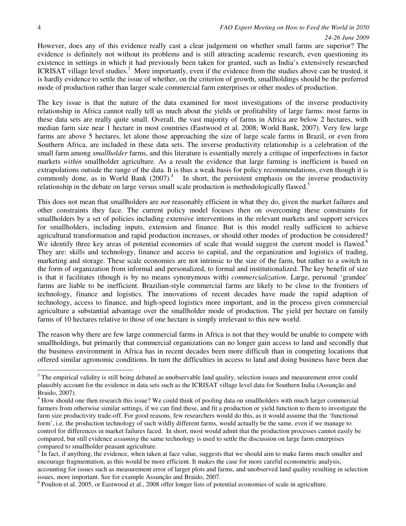l

#### *24-26 June 2009*

However, does any of this evidence really cast a clear judgement on whether small farms are superior? The evidence is definitely not without its problems and is still attracting academic research, even questioning its existence in settings in which it had previously been taken for granted, such as India's extensively researched ICRISAT village level studies.<sup>3</sup> More importantly, even if the evidence from the studies above can be trusted, it is hardly evidence to settle the issue of whether, on the criterion of growth, smallholdings should be the preferred mode of production rather than larger scale commercial farm enterprises or other modes of production.

The key issue is that the nature of the data examined for most investigations of the inverse productivity relationship in Africa cannot really tell us much about the yields or profitability of large farms: most farms in these data sets are really quite small. Overall, the vast majority of farms in Africa are below 2 hectares, with median farm size near 1 hectare in most countries (Eastwood et al. 2008; World Bank, 2007). Very few large farms are above 5 hectares, let alone those approaching the size of large scale farms in Brazil, or even from Southern Africa, are included in these data sets. The inverse productivity relationship is a celebration of the small farm among *smallholder* farms, and this literature is essentially merely a critique of imperfections in factor markets *within* smallholder agriculture. As a result the evidence that large farming is inefficient is based on extrapolations outside the range of the data. It is thus a weak basis for policy recommendations, even though it is commonly done, as in World Bank  $(2007)^4$  In short, the persistent emphasis on the inverse productivity relationship in the debate on large versus small scale production is methodologically flawed.<sup>5</sup>

This does not mean that smallholders are *not* reasonably efficient in what they do, given the market failures and other constraints they face. The current policy model focuses then on overcoming these constraints for smallholders by a set of policies including extensive interventions in the relevant markets and support services for smallholders, including inputs, extension and finance. But is this model really sufficient to achieve agricultural transformation and rapid production increases, or should other modes of production be considered? We identify three key areas of potential economies of scale that would suggest the current model is flawed.<sup>6</sup> They are: skills and technology, finance and access to capital, and the organization and logistics of trading, marketing and storage. These scale economies are not intrinsic to the size of the farm, but rather to a switch in the form of organization from informal and personalized, to formal and institutionalized. The key benefit of size is that it facilitates (though is by no means synonymous with) *commercialization*. Large, personal 'grandee' farms are liable to be inefficient. Brazilian-style commercial farms are likely to be close to the frontiers of technology, finance and logistics. The innovations of recent decades have made the rapid adaption of technology, access to finance, and high-speed logistics more important, and in the process given commercial agriculture a substantial advantage over the smallholder mode of production. The yield per hectare on family farms of 10 hectares relative to those of one hectare is simply irrelevant to this new world.

The reason why there are few large commercial farms in Africa is not that they would be unable to compete with smallholdings, but primarily that commercial organizations can no longer gain access to land and secondly that the business environment in Africa has in recent decades been more difficult than in competing locations that offered similar agronomic conditions. In turn the difficulties in access to land and doing business have been due

 $6$  Poulton et al. 2005, or Eastwood et al., 2008 offer longer lists of potential economies of scale in agriculture.

 $3$  The empirical validity is still being debated as unobservable land quality, selection issues and measurement error could plausibly account for the evidence in data sets such as the ICRISAT village level data for Southern India (Assunção and Braido, 2007).

<sup>&</sup>lt;sup>4</sup> How should one then research this issue? We could think of pooling data on smallholders with much larger commercial farmers from otherwise similar settings, if we can find these, and fit a production or yield function to them to investigate the farm size productivity trade-off. For good reasons, few researchers would do this, as it would assume that the 'functional form', i.e. the production technology of such wildly different farms, would actually be the same, even if we manage to control for differences in market failures faced. In short, most would admit that the production processes cannot easily be compared, but still evidence *assuming* the same technology is used to settle the discussion on large farm enterprises compared to smallholder peasant agriculture.

 $<sup>5</sup>$  In fact, if anything, the evidence, when taken at face value, suggests that we should aim to make farms much smaller and</sup> encourage fragmentation, as this would be more efficient. It makes the case for more careful econometric analysis, accounting for issues such as measurement error of larger plots and farms, and unobserved land quality resulting in selection issues, more important. See for example Assunção and Braido, 2007.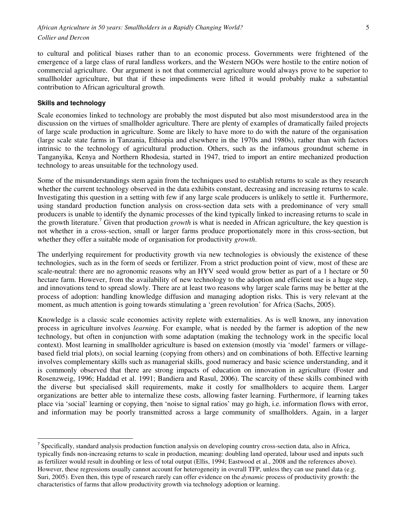to cultural and political biases rather than to an economic process. Governments were frightened of the emergence of a large class of rural landless workers, and the Western NGOs were hostile to the entire notion of commercial agriculture. Our argument is not that commercial agriculture would always prove to be superior to smallholder agriculture, but that if these impediments were lifted it would probably make a substantial contribution to African agricultural growth.

### **Skills and technology**

 $\overline{a}$ 

Scale economies linked to technology are probably the most disputed but also most misunderstood area in the discussion on the virtues of smallholder agriculture. There are plenty of examples of dramatically failed projects of large scale production in agriculture. Some are likely to have more to do with the nature of the organisation (large scale state farms in Tanzania, Ethiopia and elsewhere in the 1970s and 1980s), rather than with factors intrinsic to the technology of agricultural production. Others, such as the infamous groundnut scheme in Tanganyika, Kenya and Northern Rhodesia, started in 1947, tried to import an entire mechanized production technology to areas unsuitable for the technology used.

Some of the misunderstandings stem again from the techniques used to establish returns to scale as they research whether the current technology observed in the data exhibits constant, decreasing and increasing returns to scale. Investigating this question in a setting with few if any large scale producers is unlikely to settle it. Furthermore, using standard production function analysis on cross-section data sets with a predominance of very small producers is unable to identify the dynamic processes of the kind typically linked to increasing returns to scale in the growth literature.<sup>7</sup> Given that production *growth* is what is needed in African agriculture, the key question is not whether in a cross-section, small or larger farms produce proportionately more in this cross-section, but whether they offer a suitable mode of organisation for productivity *growth*.

The underlying requirement for productivity growth via new technologies is obviously the existence of these technologies, such as in the form of seeds or fertilizer. From a strict production point of view, most of these are scale-neutral: there are no agronomic reasons why an HYV seed would grow better as part of a 1 hectare or 50 hectare farm. However, from the availability of new technology to the adoption and efficient use is a huge step, and innovations tend to spread slowly. There are at least two reasons why larger scale farms may be better at the process of adoption: handling knowledge diffusion and managing adoption risks. This is very relevant at the moment, as much attention is going towards stimulating a 'green revolution' for Africa (Sachs, 2005).

Knowledge is a classic scale economies activity replete with externalities. As is well known, any innovation process in agriculture involves *learning*. For example, what is needed by the farmer is adoption of the new technology, but often in conjunction with some adaptation (making the technology work in the specific local context). Most learning in smallholder agriculture is based on extension (mostly via 'model' farmers or villagebased field trial plots), on social learning (copying from others) and on combinations of both. Effective learning involves complementary skills such as managerial skills, good numeracy and basic science understanding, and it is commonly observed that there are strong impacts of education on innovation in agriculture (Foster and Rosenzweig, 1996; Haddad et al. 1991; Bandiera and Rasul, 2006). The scarcity of these skills combined with the diverse but specialised skill requirements, make it costly for smallholders to acquire them. Larger organizations are better able to internalize these costs, allowing faster learning. Furthermore, if learning takes place via 'social' learning or copying, then 'noise to signal ratios' may go high, i.e. information flows with error, and information may be poorly transmitted across a large community of smallholders. Again, in a larger

<sup>&</sup>lt;sup>7</sup> Specifically, standard analysis production function analysis on developing country cross-section data, also in Africa, typically finds non-increasing returns to scale in production, meaning: doubling land operated, labour used and inputs such as fertilizer would result in doubling or less of total output (Ellis, 1994; Eastwood et al., 2008 and the references above). However, these regressions usually cannot account for heterogeneity in overall TFP, unless they can use panel data (e.g. Suri, 2005). Even then, this type of research rarely can offer evidence on the *dynamic* process of productivity growth: the characteristics of farms that allow productivity growth via technology adoption or learning.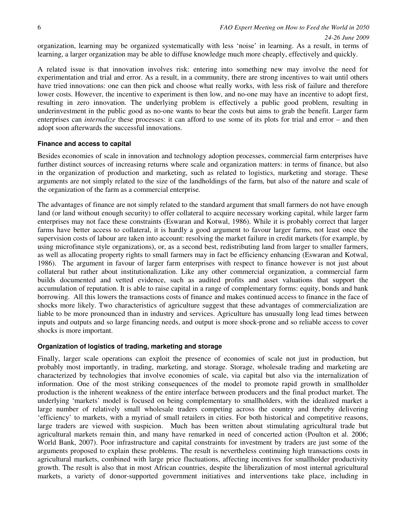organization, learning may be organized systematically with less 'noise' in learning. As a result, in terms of learning, a larger organization may be able to diffuse knowledge much more cheaply, effectively and quickly.

A related issue is that innovation involves risk: entering into something new may involve the need for experimentation and trial and error. As a result, in a community, there are strong incentives to wait until others have tried innovations: one can then pick and choose what really works, with less risk of failure and therefore lower costs. However, the incentive to experiment is then low, and no-one may have an incentive to adopt first, resulting in zero innovation. The underlying problem is effectively a public good problem, resulting in underinvestment in the public good as no-one wants to bear the costs but aims to grab the benefit. Larger farm enterprises can *internalize* these processes: it can afford to use some of its plots for trial and error – and then adopt soon afterwards the successful innovations.

#### **Finance and access to capital**

Besides economies of scale in innovation and technology adoption processes, commercial farm enterprises have further distinct sources of increasing returns where scale and organization matters: in terms of finance, but also in the organization of production and marketing, such as related to logistics, marketing and storage. These arguments are not simply related to the size of the landholdings of the farm, but also of the nature and scale of the organization of the farm as a commercial enterprise.

The advantages of finance are not simply related to the standard argument that small farmers do not have enough land (or land without enough security) to offer collateral to acquire necessary working capital, while larger farm enterprises may not face these constraints (Eswaran and Kotwal, 1986). While it is probably correct that larger farms have better access to collateral, it is hardly a good argument to favour larger farms, not least once the supervision costs of labour are taken into account: resolving the market failure in credit markets (for example, by using microfinance style organizations), or, as a second best, redistributing land from larger to smaller farmers, as well as allocating property rights to small farmers may in fact be efficiency enhancing (Eswaran and Kotwal, 1986). The argument in favour of larger farm enterprises with respect to finance however is not just about collateral but rather about institutionalization. Like any other commercial organization, a commercial farm builds documented and vetted evidence, such as audited profits and asset valuations that support the accumulation of reputation. It is able to raise capital in a range of complementary forms: equity, bonds and bank borrowing. All this lowers the transactions costs of finance and makes continued access to finance in the face of shocks more likely. Two characteristics of agriculture suggest that these advantages of commercialization are liable to be more pronounced than in industry and services. Agriculture has unusually long lead times between inputs and outputs and so large financing needs, and output is more shock-prone and so reliable access to cover shocks is more important.

#### **Organization of logistics of trading, marketing and storage**

Finally, larger scale operations can exploit the presence of economies of scale not just in production, but probably most importantly, in trading, marketing, and storage. Storage, wholesale trading and marketing are characterized by technologies that involve economies of scale, via capital but also via the internalization of information. One of the most striking consequences of the model to promote rapid growth in smallholder production is the inherent weakness of the entire interface between producers and the final product market. The underlying 'markets' model is focused on being complementary to smallholders, with the idealized market a large number of relatively small wholesale traders competing across the country and thereby delivering 'efficiency' to markets, with a myriad of small retailers in cities. For both historical and competitive reasons, large traders are viewed with suspicion. Much has been written about stimulating agricultural trade but agricultural markets remain thin, and many have remarked in need of concerted action (Poulton et al. 2006; World Bank, 2007). Poor infrastructure and capital constraints for investment by traders are just some of the arguments proposed to explain these problems. The result is nevertheless continuing high transactions costs in agricultural markets, combined with large price fluctuations, affecting incentives for smallholder productivity growth. The result is also that in most African countries, despite the liberalization of most internal agricultural markets, a variety of donor-supported government initiatives and interventions take place, including in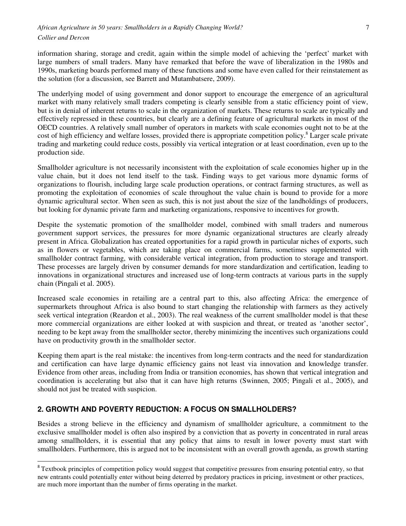information sharing, storage and credit, again within the simple model of achieving the 'perfect' market with large numbers of small traders. Many have remarked that before the wave of liberalization in the 1980s and 1990s, marketing boards performed many of these functions and some have even called for their reinstatement as the solution (for a discussion, see Barrett and Mutambatsere, 2009).

The underlying model of using government and donor support to encourage the emergence of an agricultural market with many relatively small traders competing is clearly sensible from a static efficiency point of view, but is in denial of inherent returns to scale in the organization of markets. These returns to scale are typically and effectively repressed in these countries, but clearly are a defining feature of agricultural markets in most of the OECD countries. A relatively small number of operators in markets with scale economies ought not to be at the cost of high efficiency and welfare losses, provided there is appropriate competition policy.<sup>8</sup> Larger scale private trading and marketing could reduce costs, possibly via vertical integration or at least coordination, even up to the production side.

Smallholder agriculture is not necessarily inconsistent with the exploitation of scale economies higher up in the value chain, but it does not lend itself to the task. Finding ways to get various more dynamic forms of organizations to flourish, including large scale production operations, or contract farming structures, as well as promoting the exploitation of economies of scale throughout the value chain is bound to provide for a more dynamic agricultural sector. When seen as such, this is not just about the size of the landholdings of producers, but looking for dynamic private farm and marketing organizations, responsive to incentives for growth.

Despite the systematic promotion of the smallholder model, combined with small traders and numerous government support services, the pressures for more dynamic organizational structures are clearly already present in Africa. Globalization has created opportunities for a rapid growth in particular niches of exports, such as in flowers or vegetables, which are taking place on commercial farms, sometimes supplemented with smallholder contract farming, with considerable vertical integration, from production to storage and transport. These processes are largely driven by consumer demands for more standardization and certification, leading to innovations in organizational structures and increased use of long-term contracts at various parts in the supply chain (Pingali et al. 2005).

Increased scale economies in retailing are a central part to this, also affecting Africa: the emergence of supermarkets throughout Africa is also bound to start changing the relationship with farmers as they actively seek vertical integration (Reardon et al., 2003). The real weakness of the current smallholder model is that these more commercial organizations are either looked at with suspicion and threat, or treated as 'another sector', needing to be kept away from the smallholder sector, thereby minimizing the incentives such organizations could have on productivity growth in the smallholder sector.

Keeping them apart is the real mistake: the incentives from long-term contracts and the need for standardization and certification can have large dynamic efficiency gains not least via innovation and knowledge transfer. Evidence from other areas, including from India or transition economies, has shown that vertical integration and coordination is accelerating but also that it can have high returns (Swinnen, 2005; Pingali et al., 2005), and should not just be treated with suspicion.

# **2. GROWTH AND POVERTY REDUCTION: A FOCUS ON SMALLHOLDERS?**

l

Besides a strong believe in the efficiency and dynamism of smallholder agriculture, a commitment to the exclusive smallholder model is often also inspired by a conviction that as poverty in concentrated in rural areas among smallholders, it is essential that any policy that aims to result in lower poverty must start with smallholders. Furthermore, this is argued not to be inconsistent with an overall growth agenda, as growth starting

<sup>&</sup>lt;sup>8</sup> Textbook principles of competition policy would suggest that competitive pressures from ensuring potential entry, so that new entrants could potentially enter without being deterred by predatory practices in pricing, investment or other practices, are much more important than the number of firms operating in the market.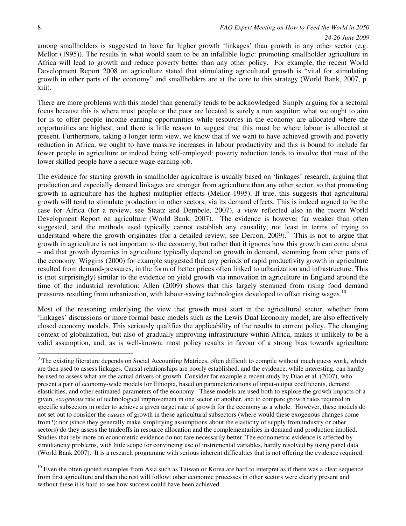l

among smallholders is suggested to have far higher growth 'linkages' than growth in any other sector (e.g. Mellor (1995)). The results in what would seem to be an infallible logic: promoting smallholder agriculture in Africa will lead to growth and reduce poverty better than any other policy. For example, the recent World Development Report 2008 on agriculture stated that stimulating agricultural growth is "vital for stimulating growth in other parts of the economy" and smallholders are at the core to this strategy (World Bank, 2007, p. xiii).

There are more problems with this model than generally tends to be acknowledged. Simply arguing for a sectoral focus because this is where most people or the poor are located is surely a non sequitur: what we ought to aim for is to offer people income earning opportunities while resources in the economy are allocated where the opportunities are highest, and there is little reason to suggest that this must be where labour is allocated at present. Furthermore, taking a longer term view, we know that if we want to have achieved growth and poverty reduction in Africa, we ought to have massive increases in labour productivity and this is bound to include far fewer people in agriculture or indeed being self-employed: poverty reduction tends to involve that most of the lower skilled people have a secure wage-earning job.

The evidence for starting growth in smallholder agriculture is usually based on 'linkages' research, arguing that production and especially demand linkages are stronger from agriculture than any other sector, so that promoting growth in agriculture has the highest multiplier effects (Mellor 1995). If true, this suggests that agricultural growth will tend to stimulate production in other sectors, via its demand effects. This is indeed argued to be the case for Africa (for a review, see Staatz and Dembele, 2007), a view reflected also in the recent World Development Report on agriculture (World Bank, 2007). The evidence is however far weaker than often suggested, and the methods used typically cannot establish any causality, not least in terms of trying to understand where the growth originates (for a detailed review, see Dercon, 2009). $\degree$  This is not to argue that growth in agriculture is not important to the economy, but rather that it ignores how this growth can come about – and that growth dynamics in agriculture typically depend on growth in demand, stemming from other parts of the economy. Wiggins (2000) for example suggested that any periods of rapid productivity growth in agriculture resulted from demand-pressures, in the form of better prices often linked to urbanization and infrastructure. This is (not surprisingly) similar to the evidence on yield growth via innovation in agriculture in England around the time of the industrial revolution: Allen (2009) shows that this largely stemmed from rising food demand pressures resulting from urbanization, with labour-saving technologies developed to offset rising wages.<sup>10</sup>

Most of the reasoning underlying the view that growth must start in the agricultural sector, whether from 'linkages' discussions or more formal basic models such as the Lewis Dual Economy model, are also effectively closed economy models. This seriously qualifies the applicability of the results to current policy. The changing context of globalization, but also of gradually improving infrastructure within Africa, makes it unlikely to be a valid assumption, and, as is well-known, most policy results in favour of a strong bias towards agriculture

<sup>&</sup>lt;sup>9</sup> The existing literature depends on Social Accounting Matrices, often difficult to compile without much guess work, which are then used to assess linkages. Causal relationships are poorly established, and the evidence, while interesting, can hardly be used to assess what are the actual drivers of growth. Consider for example a recent study by Diao et al. (2007), who present a pair of economy-wide models for Ethiopia, based on parameterizations of input-output coefficients, demand elasticities, and other estimated parameters of the economy. These models are used both to explore the growth impacts of a given, *exogenous* rate of technological improvement in one sector or another, and to compare growth rates required in specific subsectors in order to achieve a given target rate of growth for the economy as a whole. However, these models do not set out to consider the *causes* of growth in these agricultural subsectors (where would these exogenous changes come from?); nor (since they generally make simplifying assumptions about the elasticity of supply from industry or other sectors) do they assess the tradeoffs in resource allocation and the complementarities in demand and production implied. Studies that rely more on econometric evidence do not fare necessarily better. The econometric evidence is affected by simultaneity problems, with little scope for convincing use of instrumental variables, hardly resolved by using panel data (World Bank 2007). It is a research programme with serious inherent difficulties that is not offering the evidence required.

 $10$  Even the often quoted examples from Asia such as Taiwan or Korea are hard to interpret as if there was a clear sequence from first agriculture and then the rest will follow: other economic processes in other sectors were clearly present and without these it is hard to see how success could have been achieved.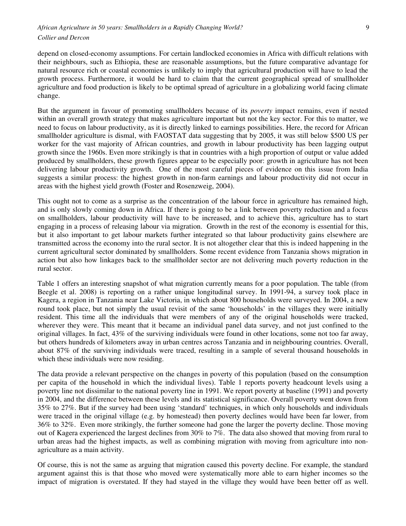depend on closed-economy assumptions. For certain landlocked economies in Africa with difficult relations with their neighbours, such as Ethiopia, these are reasonable assumptions, but the future comparative advantage for natural resource rich or coastal economies is unlikely to imply that agricultural production will have to lead the growth process. Furthermore, it would be hard to claim that the current geographical spread of smallholder agriculture and food production is likely to be optimal spread of agriculture in a globalizing world facing climate change.

But the argument in favour of promoting smallholders because of its *poverty* impact remains, even if nested within an overall growth strategy that makes agriculture important but not the key sector. For this to matter, we need to focus on labour productivity, as it is directly linked to earnings possibilities. Here, the record for African smallholder agriculture is dismal, with FAOSTAT data suggesting that by 2005, it was still below \$500 US per worker for the vast majority of African countries, and growth in labour productivity has been lagging output growth since the 1960s. Even more strikingly is that in countries with a high proportion of output or value added produced by smallholders, these growth figures appear to be especially poor: growth in agriculture has not been delivering labour productivity growth. One of the most careful pieces of evidence on this issue from India suggests a similar process: the highest growth in non-farm earnings and labour productivity did not occur in areas with the highest yield growth (Foster and Rosenzweig, 2004).

This ought not to come as a surprise as the concentration of the labour force in agriculture has remained high, and is only slowly coming down in Africa. If there is going to be a link between poverty reduction and a focus on smallholders, labour productivity will have to be increased, and to achieve this, agriculture has to start engaging in a process of releasing labour via migration. Growth in the rest of the economy is essential for this, but it also important to get labour markets further integrated so that labour productivity gains elsewhere are transmitted across the economy into the rural sector. It is not altogether clear that this is indeed happening in the current agricultural sector dominated by smallholders. Some recent evidence from Tanzania shows migration in action but also how linkages back to the smallholder sector are not delivering much poverty reduction in the rural sector.

Table 1 offers an interesting snapshot of what migration currently means for a poor population. The table (from Beegle et al. 2008) is reporting on a rather unique longitudinal survey. In 1991-94, a survey took place in Kagera, a region in Tanzania near Lake Victoria, in which about 800 households were surveyed. In 2004, a new round took place, but not simply the usual revisit of the same 'households' in the villages they were initially resident. This time all the individuals that were members of any of the original households were tracked, wherever they were. This meant that it became an individual panel data survey, and not just confined to the original villages. In fact, 43% of the surviving individuals were found in other locations, some not too far away, but others hundreds of kilometers away in urban centres across Tanzania and in neighbouring countries. Overall, about 87% of the surviving individuals were traced, resulting in a sample of several thousand households in which these individuals were now residing.

The data provide a relevant perspective on the changes in poverty of this population (based on the consumption per capita of the household in which the individual lives). Table 1 reports poverty headcount levels using a poverty line not dissimilar to the national poverty line in 1991. We report poverty at baseline (1991) and poverty in 2004, and the difference between these levels and its statistical significance. Overall poverty went down from 35% to 27%. But if the survey had been using 'standard' techniques, in which only households and individuals were traced in the original village (e.g. by homestead) then poverty declines would have been far lower, from 36% to 32%. Even more strikingly, the further someone had gone the larger the poverty decline. Those moving out of Kagera experienced the largest declines from 30% to 7%. The data also showed that moving from rural to urban areas had the highest impacts, as well as combining migration with moving from agriculture into nonagriculture as a main activity.

Of course, this is not the same as arguing that migration caused this poverty decline. For example, the standard argument against this is that those who moved were systematically more able to earn higher incomes so the impact of migration is overstated. If they had stayed in the village they would have been better off as well.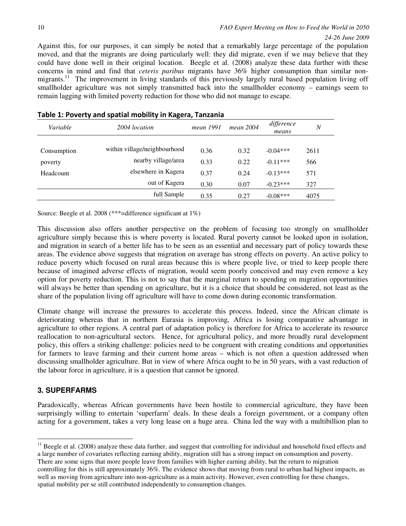#### *24-26 June 2009*

Against this, for our purposes, it can simply be noted that a remarkably large percentage of the population moved, and that the migrants are doing particularly well: they did migrate, even if we may believe that they could have done well in their original location. Beegle et al. (2008) analyze these data further with these concerns in mind and find that *ceteris paribus* migrants have 36% higher consumption than similar nonmigrants.<sup>11</sup> The improvement in living standards of this previously largely rural based population living off smallholder agriculture was not simply transmitted back into the smallholder economy – earnings seem to remain lagging with limited poverty reduction for those who did not manage to escape.

| Variable    | 2004 location                | mean 1991 | mean 2004 | difference<br>means | $\overline{N}$ |
|-------------|------------------------------|-----------|-----------|---------------------|----------------|
| Consumption | within village/neighbourhood | 0.36      | 0.32      | $-0.04***$          | 2611           |
| poverty     | nearby village/area          | 0.33      | 0.22      | $-0.11***$          | 566            |
| Headcount   | elsewhere in Kagera          | 0.37      | 0.24      | $-0.13***$          | 571            |
|             | out of Kagera                | 0.30      | 0.07      | $-0.23***$          | 327            |
|             | full Sample                  | 0.35      | 0.27      | $-0.08***$          | 4075           |

# Table 1: Poverty and spatial mobility in Kagera, Tanzania

Source: Beegle et al. 2008 (\*\*\*=difference significant at 1%)

This discussion also offers another perspective on the problem of focusing too strongly on smallholder agriculture simply because this is where poverty is located. Rural poverty cannot be looked upon in isolation, and migration in search of a better life has to be seen as an essential and necessary part of policy towards these areas. The evidence above suggests that migration on average has strong effects on poverty. An active policy to reduce poverty which focused on rural areas because this is where people live, or tried to keep people there because of imagined adverse effects of migration, would seem poorly conceived and may even remove a key option for poverty reduction. This is not to say that the marginal return to spending on migration opportunities will always be better than spending on agriculture, but it is a choice that should be considered, not least as the share of the population living off agriculture will have to come down during economic transformation.

Climate change will increase the pressures to accelerate this process. Indeed, since the African climate is deteriorating whereas that in northern Eurasia is improving, Africa is losing comparative advantage in agriculture to other regions. A central part of adaptation policy is therefore for Africa to accelerate its resource reallocation to non-agricultural sectors. Hence, for agricultural policy, and more broadly rural development policy, this offers a striking challenge: policies need to be congruent with creating conditions and opportunities for farmers to leave farming and their current home areas – which is not often a question addressed when discussing smallholder agriculture. But in view of where Africa ought to be in 50 years, with a vast reduction of the labour force in agriculture, it is a question that cannot be ignored.

## **3. SUPERFARMS**

 $\overline{a}$ 

Paradoxically, whereas African governments have been hostile to commercial agriculture, they have been surprisingly willing to entertain 'superfarm' deals. In these deals a foreign government, or a company often acting for a government, takes a very long lease on a huge area. China led the way with a multibillion plan to

 $11$  Beegle et al. (2008) analyze these data further, and suggest that controlling for individual and household fixed effects and a large number of covariates reflecting earning ability, migration still has a strong impact on consumption and poverty.

There are some signs that more people leave from families with higher earning ability, but the return to migration controlling for this is still approximately 36%. The evidence shows that moving from rural to urban had highest impacts, as well as moving from agriculture into non-agriculture as a main activity. However, even controlling for these changes, spatial mobility per se still contributed independently to consumption changes.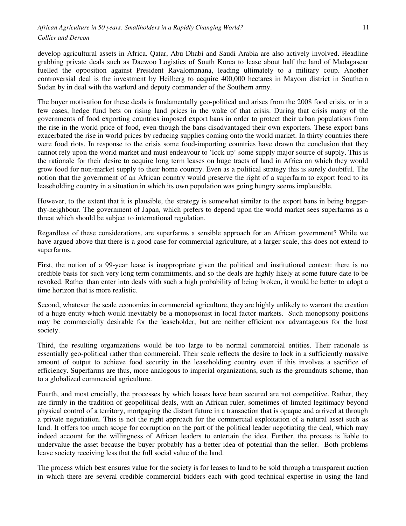develop agricultural assets in Africa. Qatar, Abu Dhabi and Saudi Arabia are also actively involved. Headline grabbing private deals such as Daewoo Logistics of South Korea to lease about half the land of Madagascar fuelled the opposition against President Ravalomanana, leading ultimately to a military coup. Another controversial deal is the investment by Heilberg to acquire 400,000 hectares in Mayom district in Southern Sudan by in deal with the warlord and deputy commander of the Southern army.

The buyer motivation for these deals is fundamentally geo-political and arises from the 2008 food crisis, or in a few cases, hedge fund bets on rising land prices in the wake of that crisis. During that crisis many of the governments of food exporting countries imposed export bans in order to protect their urban populations from the rise in the world price of food, even though the bans disadvantaged their own exporters. These export bans exacerbated the rise in world prices by reducing supplies coming onto the world market. In thirty countries there were food riots. In response to the crisis some food-importing countries have drawn the conclusion that they cannot rely upon the world market and must endeavour to 'lock up' some supply major source of supply. This is the rationale for their desire to acquire long term leases on huge tracts of land in Africa on which they would grow food for non-market supply to their home country. Even as a political strategy this is surely doubtful. The notion that the government of an African country would preserve the right of a superfarm to export food to its leaseholding country in a situation in which its own population was going hungry seems implausible.

However, to the extent that it is plausible, the strategy is somewhat similar to the export bans in being beggarthy-neighbour. The government of Japan, which prefers to depend upon the world market sees superfarms as a threat which should be subject to international regulation.

Regardless of these considerations, are superfarms a sensible approach for an African government? While we have argued above that there is a good case for commercial agriculture, at a larger scale, this does not extend to superfarms.

First, the notion of a 99-year lease is inappropriate given the political and institutional context: there is no credible basis for such very long term commitments, and so the deals are highly likely at some future date to be revoked. Rather than enter into deals with such a high probability of being broken, it would be better to adopt a time horizon that is more realistic.

Second, whatever the scale economies in commercial agriculture, they are highly unlikely to warrant the creation of a huge entity which would inevitably be a monopsonist in local factor markets. Such monopsony positions may be commercially desirable for the leaseholder, but are neither efficient nor advantageous for the host society.

Third, the resulting organizations would be too large to be normal commercial entities. Their rationale is essentially geo-political rather than commercial. Their scale reflects the desire to lock in a sufficiently massive amount of output to achieve food security in the leaseholding country even if this involves a sacrifice of efficiency. Superfarms are thus, more analogous to imperial organizations, such as the groundnuts scheme, than to a globalized commercial agriculture.

Fourth, and most crucially, the processes by which leases have been secured are not competitive. Rather, they are firmly in the tradition of geopolitical deals, with an African ruler, sometimes of limited legitimacy beyond physical control of a territory, mortgaging the distant future in a transaction that is opaque and arrived at through a private negotiation. This is not the right approach for the commercial exploitation of a natural asset such as land. It offers too much scope for corruption on the part of the political leader negotiating the deal, which may indeed account for the willingness of African leaders to entertain the idea. Further, the process is liable to undervalue the asset because the buyer probably has a better idea of potential than the seller. Both problems leave society receiving less that the full social value of the land.

The process which best ensures value for the society is for leases to land to be sold through a transparent auction in which there are several credible commercial bidders each with good technical expertise in using the land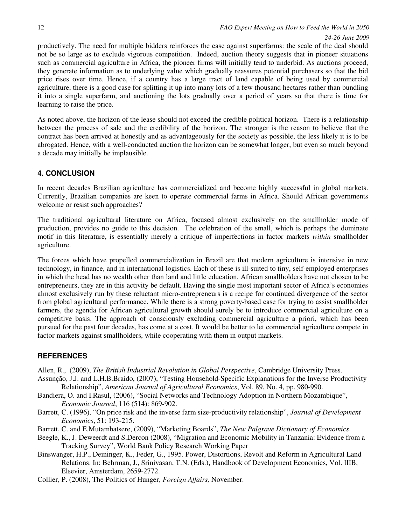#### *24-26 June 2009*

productively. The need for multiple bidders reinforces the case against superfarms: the scale of the deal should not be so large as to exclude vigorous competition. Indeed, auction theory suggests that in pioneer situations such as commercial agriculture in Africa, the pioneer firms will initially tend to underbid. As auctions proceed, they generate information as to underlying value which gradually reassures potential purchasers so that the bid price rises over time. Hence, if a country has a large tract of land capable of being used by commercial agriculture, there is a good case for splitting it up into many lots of a few thousand hectares rather than bundling it into a single superfarm, and auctioning the lots gradually over a period of years so that there is time for learning to raise the price.

As noted above, the horizon of the lease should not exceed the credible political horizon. There is a relationship between the process of sale and the credibility of the horizon. The stronger is the reason to believe that the contract has been arrived at honestly and as advantageously for the society as possible, the less likely it is to be abrogated. Hence, with a well-conducted auction the horizon can be somewhat longer, but even so much beyond a decade may initially be implausible.

## **4. CONCLUSION**

In recent decades Brazilian agriculture has commercialized and become highly successful in global markets. Currently, Brazilian companies are keen to operate commercial farms in Africa. Should African governments welcome or resist such approaches?

The traditional agricultural literature on Africa, focused almost exclusively on the smallholder mode of production, provides no guide to this decision. The celebration of the small, which is perhaps the dominate motif in this literature, is essentially merely a critique of imperfections in factor markets *within* smallholder agriculture.

The forces which have propelled commercialization in Brazil are that modern agriculture is intensive in new technology, in finance, and in international logistics. Each of these is ill-suited to tiny, self-employed enterprises in which the head has no wealth other than land and little education. African smallholders have not chosen to be entrepreneurs, they are in this activity be default. Having the single most important sector of Africa's economies almost exclusively run by these reluctant micro-entrepreneurs is a recipe for continued divergence of the sector from global agricultural performance. While there is a strong poverty-based case for trying to assist smallholder farmers, the agenda for African agricultural growth should surely be to introduce commercial agriculture on a competitive basis. The approach of consciously excluding commercial agriculture a priori, which has been pursued for the past four decades, has come at a cost. It would be better to let commercial agriculture compete in factor markets against smallholders, while cooperating with them in output markets.

### **REFERENCES**

- Allen, R., (2009), *The British Industrial Revolution in Global Perspective*, Cambridge University Press.
- Assunção, J.J. and L.H.B.Braido, (2007), "Testing Household-Specific Explanations for the Inverse Productivity Relationship", *American Journal of Agricultural Economics*, Vol. 89, No. 4, pp. 980-990.
- Bandiera, O. and I.Rasul, (2006), "Social Networks and Technology Adoption in Northern Mozambique", *Economic Journal*, 116 (514): 869-902.
- Barrett, C. (1996), "On price risk and the inverse farm size-productivity relationship", *Journal of Development Economics*, 51: 193-215.
- Barrett, C. and E.Mutambatsere, (2009), "Marketing Boards", *The New Palgrave Dictionary of Economics*.
- Beegle, K., J. Deweerdt and S.Dercon (2008), "Migration and Economic Mobility in Tanzania: Evidence from a Tracking Survey", World Bank Policy Research Working Paper
- Binswanger, H.P., Deininger, K., Feder, G., 1995. Power, Distortions, Revolt and Reform in Agricultural Land Relations. In: Behrman, J., Srinivasan, T.N. (Eds.), Handbook of Development Economics, Vol. IIIB, Elsevier, Amsterdam, 2659-2772.
- Collier, P. (2008), The Politics of Hunger, *Foreign Affairs,* November.